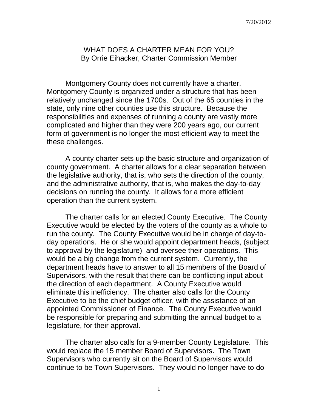## WHAT DOES A CHARTER MEAN FOR YOU? By Orrie Eihacker, Charter Commission Member

Montgomery County does not currently have a charter. Montgomery County is organized under a structure that has been relatively unchanged since the 1700s. Out of the 65 counties in the state, only nine other counties use this structure. Because the responsibilities and expenses of running a county are vastly more complicated and higher than they were 200 years ago, our current form of government is no longer the most efficient way to meet the these challenges.

A county charter sets up the basic structure and organization of county government. A charter allows for a clear separation between the legislative authority, that is, who sets the direction of the county, and the administrative authority, that is, who makes the day-to-day decisions on running the county. It allows for a more efficient operation than the current system.

The charter calls for an elected County Executive. The County Executive would be elected by the voters of the county as a whole to run the county. The County Executive would be in charge of day-today operations. He or she would appoint department heads, (subject to approval by the legislature) and oversee their operations. This would be a big change from the current system. Currently, the department heads have to answer to all 15 members of the Board of Supervisors, with the result that there can be conflicting input about the direction of each department. A County Executive would eliminate this inefficiency. The charter also calls for the County Executive to be the chief budget officer, with the assistance of an appointed Commissioner of Finance. The County Executive would be responsible for preparing and submitting the annual budget to a legislature, for their approval.

The charter also calls for a 9-member County Legislature. This would replace the 15 member Board of Supervisors. The Town Supervisors who currently sit on the Board of Supervisors would continue to be Town Supervisors. They would no longer have to do